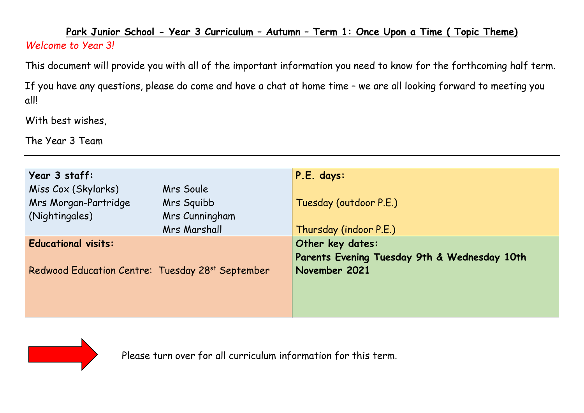## **Park Junior School - Year 3 Curriculum – Autumn – Term 1: Once Upon a Time ( Topic Theme)**  *Welcome to Year 3!*

This document will provide you with all of the important information you need to know for the forthcoming half term.

If you have any questions, please do come and have a chat at home time – we are all looking forward to meeting you all!

With best wishes,

The Year 3 Team

| Year 3 staff:                                                |                     | P.E. days:                                   |  |  |
|--------------------------------------------------------------|---------------------|----------------------------------------------|--|--|
| Miss Cox (Skylarks)                                          | Mrs Soule           |                                              |  |  |
| Mrs Morgan-Partridge                                         | Mrs Squibb          | Tuesday (outdoor P.E.)                       |  |  |
| (Nightingales)                                               | Mrs Cunningham      |                                              |  |  |
|                                                              | <b>Mrs Marshall</b> | Thursday (indoor P.E.)                       |  |  |
| <b>Educational visits:</b>                                   |                     | Other key dates:                             |  |  |
|                                                              |                     | Parents Evening Tuesday 9th & Wednesday 10th |  |  |
| Redwood Education Centre: Tuesday 28 <sup>st</sup> September |                     | November 2021                                |  |  |
|                                                              |                     |                                              |  |  |
|                                                              |                     |                                              |  |  |
|                                                              |                     |                                              |  |  |



Please turn over for all curriculum information for this term.